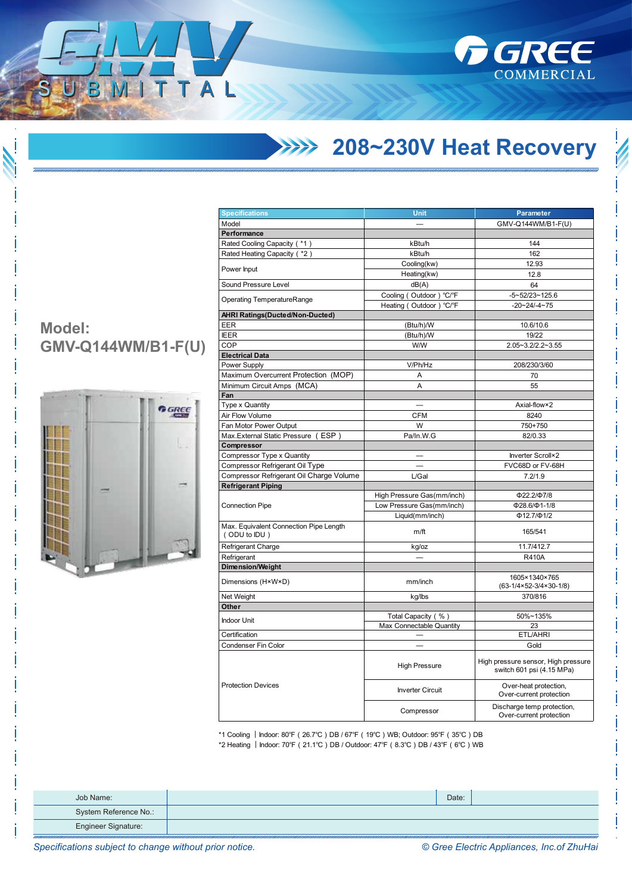

## **208~230V Heat Recovery**

| <b>Specifications</b>                                  | Unit                       | <b>Parameter</b>                                                 |  |
|--------------------------------------------------------|----------------------------|------------------------------------------------------------------|--|
| Model                                                  |                            | GMV-Q144WM/B1-F(U)                                               |  |
| Performance                                            |                            |                                                                  |  |
| Rated Cooling Capacity (*1)                            | kBtu/h                     | 144                                                              |  |
| Rated Heating Capacity ( *2)                           | kBtu/h                     | 162                                                              |  |
|                                                        | Cooling(kw)                | 12.93                                                            |  |
| Power Input                                            | Heating(kw)                | 12.8                                                             |  |
| Sound Pressure Level                                   | dB(A)                      | 64                                                               |  |
|                                                        | Cooling (Outdoor) °C/°F    | $-5 - 52/23 - 125.6$                                             |  |
| <b>Operating TemperatureRange</b>                      | Heating (Outdoor) °C/°F    | $-20 - 24 - 4 - 75$                                              |  |
| <b>AHRI Ratings(Ducted/Non-Ducted)</b>                 |                            |                                                                  |  |
| <b>EER</b>                                             | (Btu/h)/W                  | 10.6/10.6                                                        |  |
| <b>IEER</b>                                            | (Btu/h)/W                  | 19/22                                                            |  |
| COP                                                    | W/W                        | 2.05~3.2/2.2~3.55                                                |  |
| <b>Electrical Data</b>                                 |                            |                                                                  |  |
| Power Supply                                           | V/Ph/Hz                    | 208/230/3/60                                                     |  |
| Maximum Overcurrent Protection (MOP)                   | A                          | 70                                                               |  |
| Minimum Circuit Amps (MCA)                             | A                          | 55                                                               |  |
| Fan                                                    |                            |                                                                  |  |
| <b>Type x Quantity</b>                                 |                            | Axial-flow×2                                                     |  |
| Air Flow Volume                                        | <b>CFM</b>                 | 8240                                                             |  |
|                                                        | W                          |                                                                  |  |
| Fan Motor Power Output                                 |                            | 750+750                                                          |  |
| Max. External Static Pressure (ESP)                    | Pa/In.W.G                  | 82/0.33                                                          |  |
| Compressor                                             |                            |                                                                  |  |
| Compressor Type x Quantity                             |                            | Inverter Scroll×2                                                |  |
| Compressor Refrigerant Oil Type                        |                            | FVC68D or FV-68H                                                 |  |
| Compressor Refrigerant Oil Charge Volume               | L/Gal                      | 7.2/1.9                                                          |  |
| <b>Refrigerant Piping</b>                              |                            |                                                                  |  |
|                                                        | High Pressure Gas(mm/inch) | Ф22.2/Ф7/8                                                       |  |
| <b>Connection Pipe</b>                                 | Low Pressure Gas(mm/inch)  | $\Phi$ 28.6/ $\Phi$ 1-1/8                                        |  |
|                                                        | Liquid(mm/inch)            | $\Phi$ 12.7/ $\Phi$ 1/2                                          |  |
| Max. Equivalent Connection Pipe Length<br>(ODU to IDU) | m/ft                       | 165/541                                                          |  |
| Refrigerant Charge                                     | kg/oz                      | 11.7/412.7                                                       |  |
| Refrigerant                                            |                            | <b>R410A</b>                                                     |  |
| <b>Dimension/Weight</b>                                |                            |                                                                  |  |
| Dimensions (H×W×D)                                     | mm/inch                    | 1605×1340×765<br>$(63-1/4\times52-3/4\times30-1/8)$              |  |
| Net Weight                                             | kg/lbs                     | 370/816                                                          |  |
| Other                                                  |                            |                                                                  |  |
|                                                        | Total Capacity (%)         | 50%~135%                                                         |  |
| <b>Indoor Unit</b>                                     | Max Connectable Quantity   | 23                                                               |  |
| Certification                                          |                            | ETL/AHRI                                                         |  |
| Condenser Fin Color                                    |                            | Gold                                                             |  |
|                                                        | <b>High Pressure</b>       | High pressure sensor, High pressure<br>switch 601 psi (4.15 MPa) |  |
| <b>Protection Devices</b>                              | <b>Inverter Circuit</b>    | Over-heat protection,<br>Over-current protection                 |  |
|                                                        | Compressor                 | Discharge temp protection,<br>Over-current protection            |  |

\*1 Cooling ︱Indoor: 80℉(26.7℃)DB / 67℉(19℃)WB; Outdoor: 95℉(35℃)DB \*2 Heating ︱Indoor: 70℉(21.1℃)DB / Outdoor: 47℉(8.3℃)DB / 43℉(6℃)WB

| Job Name:             | Date: |  |
|-----------------------|-------|--|
| System Reference No.: |       |  |
| Engineer Signature:   |       |  |

**Model: GMV-Q144WM/B1-F(U)**

ITTAL



*Specifications subject to change without prior notice. © Gree Electric Appliances, Inc.of ZhuHai*